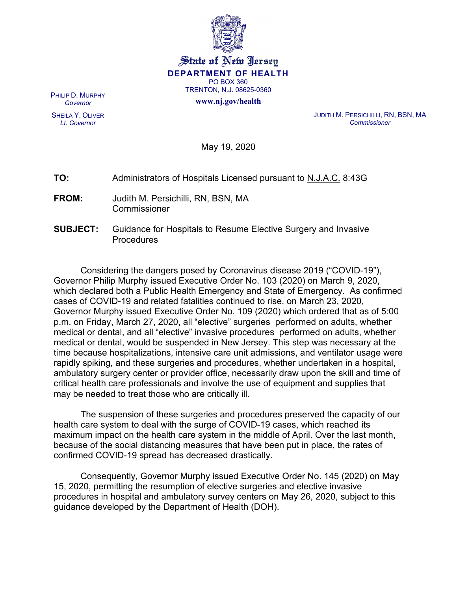

#### State of New Jersey **DEPARTMENT OF HEALTH** PO BOX 360 TRENTON, N.J. 08625-0360

**www.nj.gov/health**

PHILIP D. MURPHY *Governor*

SHEILA Y. OLIVER *Lt. Governor*

JUDITH M. PERSICHILLI, RN, BSN, MA *Commissioner*

May 19, 2020

| TO:<br>Administrators of Hospitals Licensed pursuant to N.J.A.C. 8:43G |  |
|------------------------------------------------------------------------|--|
|------------------------------------------------------------------------|--|

- **FROM:** Judith M. Persichilli, RN, BSN, MA **Commissioner**
- **SUBJECT:** Guidance for Hospitals to Resume Elective Surgery and Invasive Procedures

Considering the dangers posed by Coronavirus disease 2019 ("COVID-19"), Governor Philip Murphy issued Executive Order No. 103 (2020) on March 9, 2020, which declared both a Public Health Emergency and State of Emergency. As confirmed cases of COVID-19 and related fatalities continued to rise, on March 23, 2020, Governor Murphy issued Executive Order No. 109 (2020) which ordered that as of 5:00 p.m. on Friday, March 27, 2020, all "elective" surgeries performed on adults, whether medical or dental, and all "elective" invasive procedures performed on adults, whether medical or dental, would be suspended in New Jersey. This step was necessary at the time because hospitalizations, intensive care unit admissions, and ventilator usage were rapidly spiking, and these surgeries and procedures, whether undertaken in a hospital, ambulatory surgery center or provider office, necessarily draw upon the skill and time of critical health care professionals and involve the use of equipment and supplies that may be needed to treat those who are critically ill.

The suspension of these surgeries and procedures preserved the capacity of our health care system to deal with the surge of COVID-19 cases, which reached its maximum impact on the health care system in the middle of April. Over the last month, because of the social distancing measures that have been put in place, the rates of confirmed COVID-19 spread has decreased drastically.

Consequently, Governor Murphy issued Executive Order No. 145 (2020) on May 15, 2020, permitting the resumption of elective surgeries and elective invasive procedures in hospital and ambulatory survey centers on May 26, 2020, subject to this guidance developed by the Department of Health (DOH).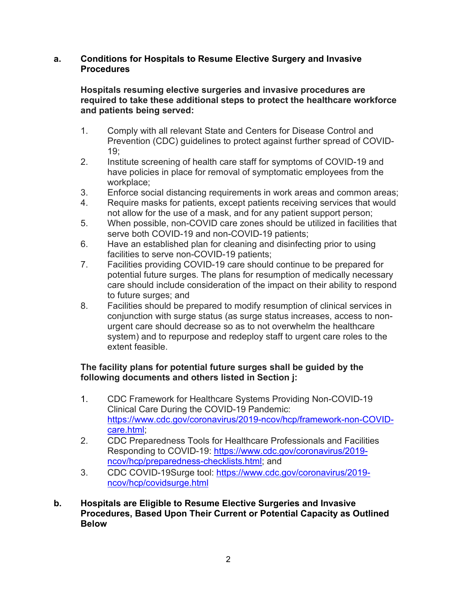#### **a. Conditions for Hospitals to Resume Elective Surgery and Invasive Procedures**

#### **Hospitals resuming elective surgeries and invasive procedures are required to take these additional steps to protect the healthcare workforce and patients being served:**

- 1. Comply with all relevant State and Centers for Disease Control and Prevention (CDC) guidelines to protect against further spread of COVID-19;
- 2. Institute screening of health care staff for symptoms of COVID-19 and have policies in place for removal of symptomatic employees from the workplace;
- 3. Enforce social distancing requirements in work areas and common areas;
- 4. Require masks for patients, except patients receiving services that would not allow for the use of a mask, and for any patient support person;
- 5. When possible, non-COVID care zones should be utilized in facilities that serve both COVID-19 and non-COVID-19 patients;
- 6. Have an established plan for cleaning and disinfecting prior to using facilities to serve non-COVID-19 patients;
- 7. Facilities providing COVID-19 care should continue to be prepared for potential future surges. The plans for resumption of medically necessary care should include consideration of the impact on their ability to respond to future surges; and
- 8. Facilities should be prepared to modify resumption of clinical services in conjunction with surge status (as surge status increases, access to nonurgent care should decrease so as to not overwhelm the healthcare system) and to repurpose and redeploy staff to urgent care roles to the extent feasible.

## **The facility plans for potential future surges shall be guided by the following documents and others listed in Section j:**

- 1. CDC Framework for Healthcare Systems Providing Non-COVID-19 Clinical Care During the COVID-19 Pandemic: [https://www.cdc.gov/coronavirus/2019-ncov/hcp/framework-non-COVID](https://www.cdc.gov/coronavirus/2019-ncov/hcp/framework-non-COVID-care.html)[care.html;](https://www.cdc.gov/coronavirus/2019-ncov/hcp/framework-non-COVID-care.html)
- 2. CDC Preparedness Tools for Healthcare Professionals and Facilities Responding to COVID-19: [https://www.cdc.gov/coronavirus/2019](https://www.cdc.gov/coronavirus/2019-ncov/hcp/preparedness-checklists.html) [ncov/hcp/preparedness-checklists.html;](https://www.cdc.gov/coronavirus/2019-ncov/hcp/preparedness-checklists.html) and
- 3. CDC COVID-19Surge tool: [https://www.cdc.gov/coronavirus/2019](https://www.cdc.gov/coronavirus/2019-ncov/hcp/covidsurge.html) [ncov/hcp/covidsurge.html](https://www.cdc.gov/coronavirus/2019-ncov/hcp/covidsurge.html)
- **b. Hospitals are Eligible to Resume Elective Surgeries and Invasive Procedures, Based Upon Their Current or Potential Capacity as Outlined Below**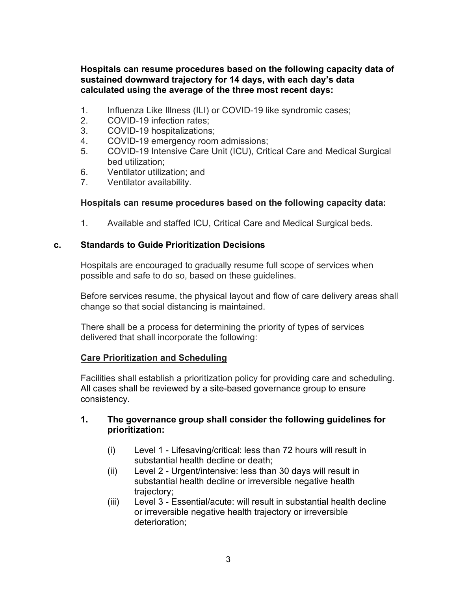**Hospitals can resume procedures based on the following capacity data of sustained downward trajectory for 14 days, with each day's data calculated using the average of the three most recent days:**

- 1. Influenza Like Illness (ILI) or COVID-19 like syndromic cases;
- 2. COVID-19 infection rates;
- 3. COVID-19 hospitalizations;
- 4. COVID-19 emergency room admissions;
- 5. COVID-19 Intensive Care Unit (ICU), Critical Care and Medical Surgical bed utilization;
- 6. Ventilator utilization; and
- 7. Ventilator availability.

#### **Hospitals can resume procedures based on the following capacity data:**

1. Available and staffed ICU, Critical Care and Medical Surgical beds.

#### **c. Standards to Guide Prioritization Decisions**

Hospitals are encouraged to gradually resume full scope of services when possible and safe to do so, based on these guidelines.

Before services resume, the physical layout and flow of care delivery areas shall change so that social distancing is maintained.

There shall be a process for determining the priority of types of services delivered that shall incorporate the following:

#### **Care Prioritization and Scheduling**

Facilities shall establish a prioritization policy for providing care and scheduling. All cases shall be reviewed by a site-based governance group to ensure consistency.

#### **1. The governance group shall consider the following guidelines for prioritization:**

- (i) Level 1 Lifesaving/critical: less than 72 hours will result in substantial health decline or death;
- (ii) Level 2 Urgent/intensive: less than 30 days will result in substantial health decline or irreversible negative health trajectory;
- (iii) Level 3 Essential/acute: will result in substantial health decline or irreversible negative health trajectory or irreversible deterioration;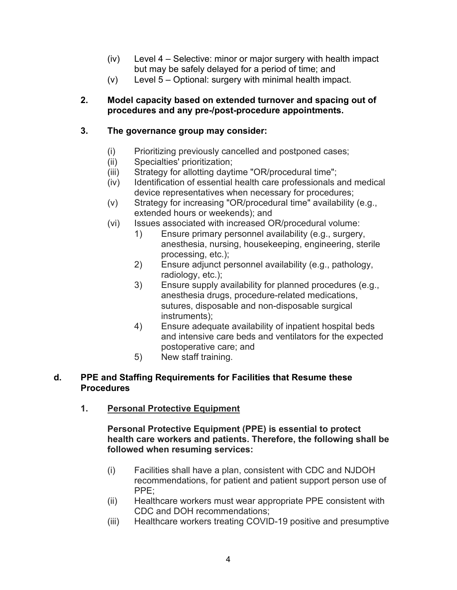- (iv) Level 4 Selective: minor or major surgery with health impact but may be safely delayed for a period of time; and
- (v) Level 5 Optional: surgery with minimal health impact.

### **2. Model capacity based on extended turnover and spacing out of procedures and any pre-/post-procedure appointments.**

# **3. The governance group may consider:**

- (i) Prioritizing previously cancelled and postponed cases;
- (ii) Specialties' prioritization;
- (iii) Strategy for allotting daytime "OR/procedural time";
- (iv) Identification of essential health care professionals and medical device representatives when necessary for procedures;
- (v) Strategy for increasing "OR/procedural time" availability (e.g., extended hours or weekends); and
- (vi) Issues associated with increased OR/procedural volume:
	- 1) Ensure primary personnel availability (e.g., surgery, anesthesia, nursing, housekeeping, engineering, sterile processing, etc.);
	- 2) Ensure adjunct personnel availability (e.g., pathology, radiology, etc.);
	- 3) Ensure supply availability for planned procedures (e.g., anesthesia drugs, procedure-related medications, sutures, disposable and non-disposable surgical instruments);
	- 4) Ensure adequate availability of inpatient hospital beds and intensive care beds and ventilators for the expected postoperative care; and
	- 5) New staff training.

## **d. PPE and Staffing Requirements for Facilities that Resume these Procedures**

**1. Personal Protective Equipment**

#### **Personal Protective Equipment (PPE) is essential to protect health care workers and patients. Therefore, the following shall be followed when resuming services:**

- (i) Facilities shall have a plan, consistent with CDC and NJDOH recommendations, for patient and patient support person use of PPE;
- (ii) Healthcare workers must wear appropriate PPE consistent with CDC and DOH recommendations;
- (iii) Healthcare workers treating COVID-19 positive and presumptive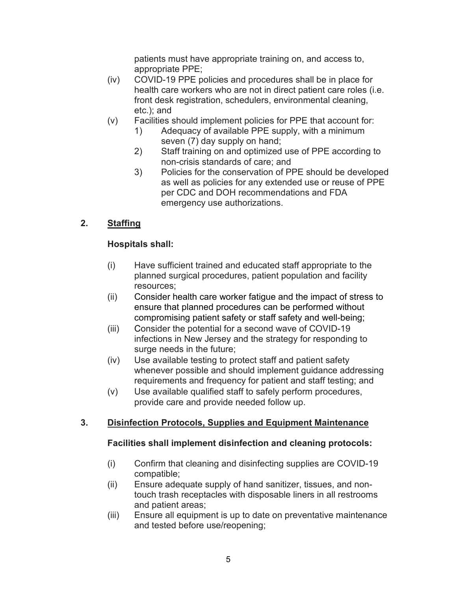patients must have appropriate training on, and access to, appropriate PPE;

- (iv) COVID-19 PPE policies and procedures shall be in place for health care workers who are not in direct patient care roles (i.e. front desk registration, schedulers, environmental cleaning, etc.); and
- (v) Facilities should implement policies for PPE that account for:
	- 1) Adequacy of available PPE supply, with a minimum seven (7) day supply on hand;
	- 2) Staff training on and optimized use of PPE according to non-crisis standards of care; and
	- 3) Policies for the conservation of PPE should be developed as well as policies for any extended use or reuse of PPE per CDC and DOH recommendations and FDA emergency use authorizations.

# **2. Staffing**

# **Hospitals shall:**

- (i) Have sufficient trained and educated staff appropriate to the planned surgical procedures, patient population and facility resources;
- (ii) Consider health care worker fatigue and the impact of stress to ensure that planned procedures can be performed without compromising patient safety or staff safety and well-being;
- (iii) Consider the potential for a second wave of COVID-19 infections in New Jersey and the strategy for responding to surge needs in the future;
- (iv) Use available testing to protect staff and patient safety whenever possible and should implement guidance addressing requirements and frequency for patient and staff testing; and
- (v) Use available qualified staff to safely perform procedures, provide care and provide needed follow up.

# **3. Disinfection Protocols, Supplies and Equipment Maintenance**

## **Facilities shall implement disinfection and cleaning protocols:**

- (i) Confirm that cleaning and disinfecting supplies are COVID-19 compatible;
- (ii) Ensure adequate supply of hand sanitizer, tissues, and nontouch trash receptacles with disposable liners in all restrooms and patient areas;
- (iii) Ensure all equipment is up to date on preventative maintenance and tested before use/reopening;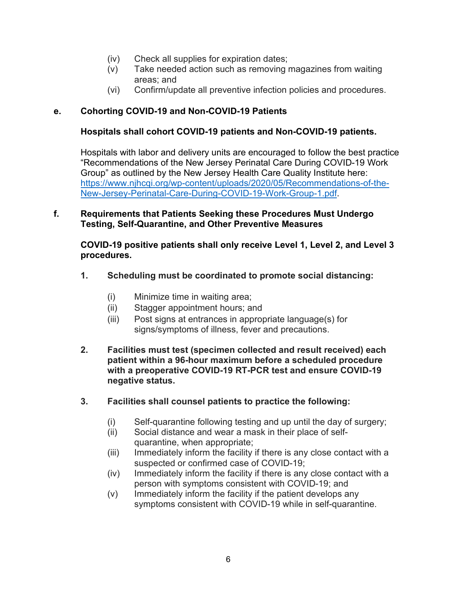- (iv) Check all supplies for expiration dates;
- (v) Take needed action such as removing magazines from waiting areas; and
- (vi) Confirm/update all preventive infection policies and procedures.

### **e. Cohorting COVID-19 and Non-COVID-19 Patients**

#### **Hospitals shall cohort COVID-19 patients and Non-COVID-19 patients.**

Hospitals with labor and delivery units are encouraged to follow the best practice "Recommendations of the New Jersey Perinatal Care During COVID-19 Work Group" as outlined by the New Jersey Health Care Quality Institute here: [https://www.njhcqi.org/wp-content/uploads/2020/05/Recommendations-of-the-](https://www.njhcqi.org/wp-content/uploads/2020/05/Recommendations-of-the-New-Jersey-Perinatal-Care-During-COVID-19-Work-Group-1.pdf)[New-Jersey-Perinatal-Care-During-COVID-19-Work-Group-1.pdf.](https://www.njhcqi.org/wp-content/uploads/2020/05/Recommendations-of-the-New-Jersey-Perinatal-Care-During-COVID-19-Work-Group-1.pdf)

#### **f. Requirements that Patients Seeking these Procedures Must Undergo Testing, Self-Quarantine, and Other Preventive Measures**

**COVID-19 positive patients shall only receive Level 1, Level 2, and Level 3 procedures.**

- **1. Scheduling must be coordinated to promote social distancing:**
	- (i) Minimize time in waiting area;
	- (ii) Stagger appointment hours; and
	- (iii) Post signs at entrances in appropriate language(s) for signs/symptoms of illness, fever and precautions.
- **2. Facilities must test (specimen collected and result received) each patient within a 96-hour maximum before a scheduled procedure with a preoperative COVID-19 RT-PCR test and ensure COVID-19 negative status.**
- **3. Facilities shall counsel patients to practice the following:**
	- (i) Self-quarantine following testing and up until the day of surgery;
	- (ii) Social distance and wear a mask in their place of selfquarantine, when appropriate;
	- (iii) Immediately inform the facility if there is any close contact with a suspected or confirmed case of COVID-19;
	- (iv) Immediately inform the facility if there is any close contact with a person with symptoms consistent with COVID-19; and
	- (v) Immediately inform the facility if the patient develops any symptoms consistent with COVID-19 while in self-quarantine.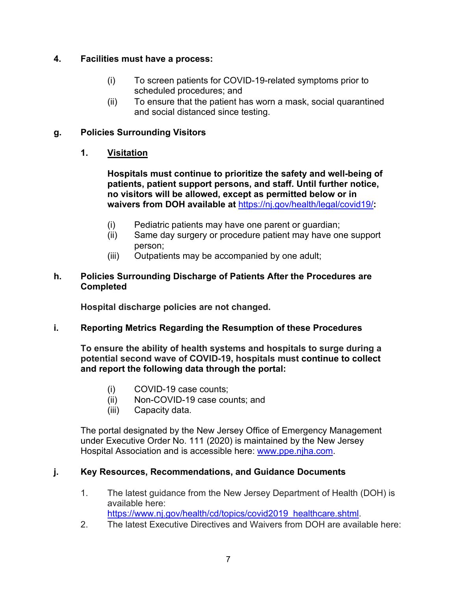## **4. Facilities must have a process:**

- (i) To screen patients for COVID-19-related symptoms prior to scheduled procedures; and
- (ii) To ensure that the patient has worn a mask, social quarantined and social distanced since testing.

## **g. Policies Surrounding Visitors**

## **1. Visitation**

**Hospitals must continue to prioritize the safety and well-being of patients, patient support persons, and staff. Until further notice, no visitors will be allowed, except as permitted below or in waivers from DOH available at** <https://nj.gov/health/legal/covid19/>**:**

- (i) Pediatric patients may have one parent or guardian;
- (ii) Same day surgery or procedure patient may have one support person;
- (iii) Outpatients may be accompanied by one adult;

### **h. Policies Surrounding Discharge of Patients After the Procedures are Completed**

**Hospital discharge policies are not changed.**

## **i. Reporting Metrics Regarding the Resumption of these Procedures**

**To ensure the ability of health systems and hospitals to surge during a potential second wave of COVID-19, hospitals must continue to collect and report the following data through the portal:**

- (i) COVID-19 case counts;
- (ii) Non-COVID-19 case counts; and
- (iii) Capacity data.

The portal designated by the New Jersey Office of Emergency Management under Executive Order No. 111 (2020) is maintained by the New Jersey Hospital Association and is accessible here: [www.ppe.njha.com.](http://www.ppe.njha.com/)

## **j. Key Resources, Recommendations, and Guidance Documents**

- 1. The latest guidance from the New Jersey Department of Health (DOH) is available here: [https://www.nj.gov/health/cd/topics/covid2019\\_healthcare.shtml.](https://www.nj.gov/health/cd/topics/covid2019_healthcare.shtml)
- 2. The latest Executive Directives and Waivers from DOH are available here: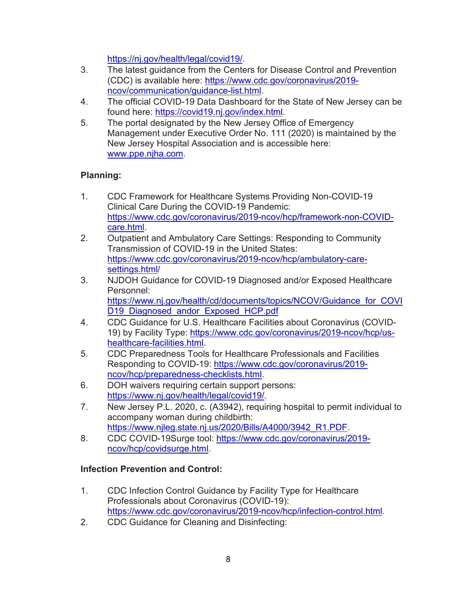[https://nj.gov/health/legal/covid19/.](https://nj.gov/health/legal/covid19/)

- 3. The latest guidance from the Centers for Disease Control and Prevention (CDC) is available here: [https://www.cdc.gov/coronavirus/2019](https://www.cdc.gov/coronavirus/2019-ncov/communication/guidance-list.html) [ncov/communication/guidance-list.html.](https://www.cdc.gov/coronavirus/2019-ncov/communication/guidance-list.html)
- 4. The official COVID-19 Data Dashboard for the State of New Jersey can be found here: [https://covid19.nj.gov/index.html.](https://covid19.nj.gov/index.html)
- 5. The portal designated by the New Jersey Office of Emergency Management under Executive Order No. 111 (2020) is maintained by the New Jersey Hospital Association and is accessible here: [www.ppe.njha.com.](http://www.ppe.njha.com/)

# **Planning:**

- 1. CDC Framework for Healthcare Systems Providing Non-COVID-19 Clinical Care During the COVID-19 Pandemic: [https://www.cdc.gov/coronavirus/2019-ncov/hcp/framework-non-COVID](https://www.cdc.gov/coronavirus/2019-ncov/hcp/framework-non-COVID-care.html)[care.html.](https://www.cdc.gov/coronavirus/2019-ncov/hcp/framework-non-COVID-care.html)
- 2. Outpatient and Ambulatory Care Settings: Responding to Community Transmission of COVID-19 in the United States: [https://www.cdc.gov/coronavirus/2019-ncov/hcp/ambulatory-care](https://www.cdc.gov/coronavirus/2019-ncov/hcp/ambulatory-care-settings.html)[settings.html/](https://www.cdc.gov/coronavirus/2019-ncov/hcp/ambulatory-care-settings.html)
- 3. NJDOH Guidance for COVID-19 Diagnosed and/or Exposed Healthcare Personnel: [https://www.nj.gov/health/cd/documents/topics/NCOV/Guidance\\_for\\_COVI](https://www.nj.gov/health/cd/documents/topics/NCOV/Guidance_for_COVID19_Diagnosed_andor_Exposed_HCP.pdf) [D19\\_Diagnosed\\_andor\\_Exposed\\_HCP.pdf](https://www.nj.gov/health/cd/documents/topics/NCOV/Guidance_for_COVID19_Diagnosed_andor_Exposed_HCP.pdf)
- 4. CDC Guidance for U.S. Healthcare Facilities about Coronavirus (COVID-19) by Facility Type: [https://www.cdc.gov/coronavirus/2019-ncov/hcp/us](https://www.cdc.gov/coronavirus/2019-ncov/hcp/us-healthcare-facilities.html)[healthcare-facilities.html.](https://www.cdc.gov/coronavirus/2019-ncov/hcp/us-healthcare-facilities.html)
- 5. CDC Preparedness Tools for Healthcare Professionals and Facilities Responding to COVID-19: [https://www.cdc.gov/coronavirus/2019](https://www.cdc.gov/coronavirus/2019-ncov/hcp/preparedness-checklists.html) [ncov/hcp/preparedness-checklists.html.](https://www.cdc.gov/coronavirus/2019-ncov/hcp/preparedness-checklists.html)
- 6. DOH waivers requiring certain support persons: [https://www.nj.gov/health/legal/covid19/.](https://www.nj.gov/health/legal/covid19/)
- 7. New Jersey P.L. 2020, c. (A3942), requiring hospital to permit individual to accompany woman during childbirth: [https://www.njleg.state.nj.us/2020/Bills/A4000/3942\\_R1.PDF.](https://www.njleg.state.nj.us/2020/Bills/A4000/3942_R1.PDF)
- 8. CDC COVID-19Surge tool: [https://www.cdc.gov/coronavirus/2019](https://www.cdc.gov/coronavirus/2019-ncov/hcp/covidsurge.html) [ncov/hcp/covidsurge.html.](https://www.cdc.gov/coronavirus/2019-ncov/hcp/covidsurge.html)

# **Infection Prevention and Control:**

- 1. CDC Infection Control Guidance by Facility Type for Healthcare Professionals about Coronavirus (COVID-19): [https://www.cdc.gov/coronavirus/2019-ncov/hcp/infection-control.html.](https://www.cdc.gov/coronavirus/2019-ncov/hcp/infection-control.html)
- 2. CDC Guidance for Cleaning and Disinfecting: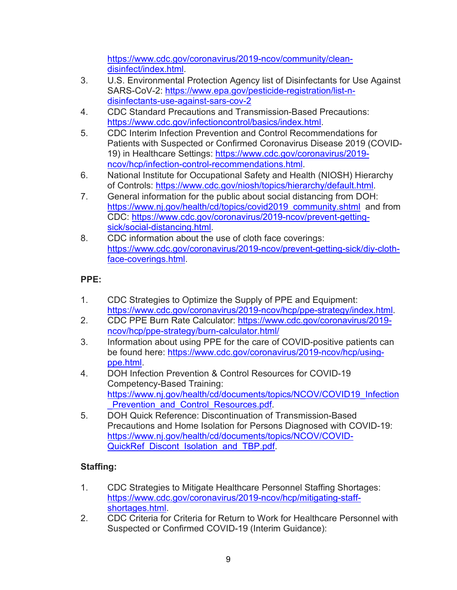[https://www.cdc.gov/coronavirus/2019-ncov/community/clean](https://www.cdc.gov/coronavirus/2019-ncov/community/clean-disinfect/index.html)[disinfect/index.html.](https://www.cdc.gov/coronavirus/2019-ncov/community/clean-disinfect/index.html)

- 3. U.S. Environmental Protection Agency list of Disinfectants for Use Against SARS-CoV-2: [https://www.epa.gov/pesticide-registration/list-n](https://www.epa.gov/pesticide-registration/list-n-disinfectants-use-against-sars-cov-2)[disinfectants-use-against-sars-cov-2](https://www.epa.gov/pesticide-registration/list-n-disinfectants-use-against-sars-cov-2)
- 4. CDC Standard Precautions and Transmission-Based Precautions: [https://www.cdc.gov/infectioncontrol/basics/index.html.](https://www.cdc.gov/infectioncontrol/basics/index.html)
- 5. CDC Interim Infection Prevention and Control Recommendations for Patients with Suspected or Confirmed Coronavirus Disease 2019 (COVID-19) in Healthcare Settings: [https://www.cdc.gov/coronavirus/2019](https://www.cdc.gov/coronavirus/2019-ncov/hcp/infection-control-recommendations.html) [ncov/hcp/infection-control-recommendations.html.](https://www.cdc.gov/coronavirus/2019-ncov/hcp/infection-control-recommendations.html)
- 6. National Institute for Occupational Safety and Health (NIOSH) Hierarchy of Controls: [https://www.cdc.gov/niosh/topics/hierarchy/default.html.](https://www.cdc.gov/niosh/topics/hierarchy/default.html)
- 7. General information for the public about social distancing from DOH: [https://www.nj.gov/health/cd/topics/covid2019\\_community.shtml](https://www.nj.gov/health/cd/topics/covid2019_community.shtml) and from CDC: [https://www.cdc.gov/coronavirus/2019-ncov/prevent-getting](https://www.cdc.gov/coronavirus/2019-ncov/prevent-getting-sick/social-distancing.html)[sick/social-distancing.html.](https://www.cdc.gov/coronavirus/2019-ncov/prevent-getting-sick/social-distancing.html)
- 8. CDC information about the use of cloth face coverings: [https://www.cdc.gov/coronavirus/2019-ncov/prevent-getting-sick/diy-cloth](https://www.cdc.gov/coronavirus/2019-ncov/prevent-getting-sick/diy-cloth-face-coverings.html)[face-coverings.html.](https://www.cdc.gov/coronavirus/2019-ncov/prevent-getting-sick/diy-cloth-face-coverings.html)

# **PPE:**

- 1. CDC Strategies to Optimize the Supply of PPE and Equipment: [https://www.cdc.gov/coronavirus/2019-ncov/hcp/ppe-strategy/index.html.](https://www.cdc.gov/coronavirus/2019-ncov/hcp/ppe-strategy/index.html)
- 2. CDC PPE Burn Rate Calculator: [https://www.cdc.gov/coronavirus/2019](https://www.cdc.gov/coronavirus/2019-ncov/hcp/ppe-strategy/burn-calculator.html/) [ncov/hcp/ppe-strategy/burn-calculator.html/](https://www.cdc.gov/coronavirus/2019-ncov/hcp/ppe-strategy/burn-calculator.html/)
- 3. Information about using PPE for the care of COVID-positive patients can be found here: [https://www.cdc.gov/coronavirus/2019-ncov/hcp/using](https://www.cdc.gov/coronavirus/2019-ncov/hcp/using-ppe.html)[ppe.html.](https://www.cdc.gov/coronavirus/2019-ncov/hcp/using-ppe.html)
- 4. DOH Infection Prevention & Control Resources for COVID-19 Competency-Based Training: [https://www.nj.gov/health/cd/documents/topics/NCOV/COVID19\\_Infection](https://www.nj.gov/health/cd/documents/topics/NCOV/COVID19_Infection_Prevention_and_Control_Resources.pdf) Prevention and Control Resources.pdf.
- 5. DOH Quick Reference: Discontinuation of Transmission-Based Precautions and Home Isolation for Persons Diagnosed with COVID-19: [https://www.nj.gov/health/cd/documents/topics/NCOV/COVID-](https://www.nj.gov/health/cd/documents/topics/NCOV/COVID-QuickRef_Discont_Isolation_and_TBP.pdf)QuickRef Discont Isolation and TBP.pdf.

# **Staffing:**

- 1. CDC Strategies to Mitigate Healthcare Personnel Staffing Shortages: [https://www.cdc.gov/coronavirus/2019-ncov/hcp/mitigating-staff](https://www.cdc.gov/coronavirus/2019-ncov/hcp/mitigating-staff-shortages.html)[shortages.html.](https://www.cdc.gov/coronavirus/2019-ncov/hcp/mitigating-staff-shortages.html)
- 2. CDC Criteria for Criteria for Return to Work for Healthcare Personnel with Suspected or Confirmed COVID-19 (Interim Guidance):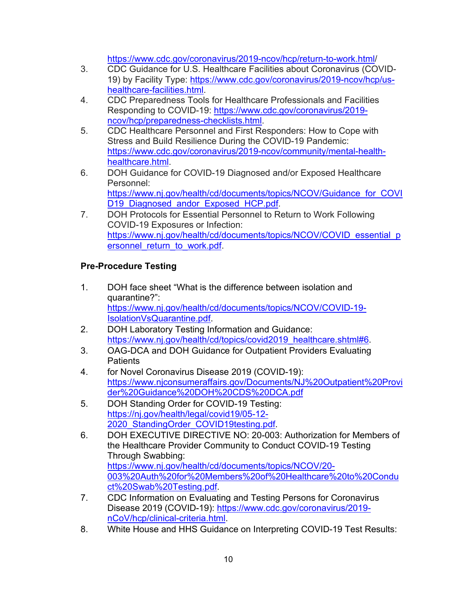[https://www.cdc.gov/coronavirus/2019-ncov/hcp/return-to-work.html/](https://www.cdc.gov/coronavirus/2019-ncov/hcp/return-to-work.html)

- 3. CDC Guidance for U.S. Healthcare Facilities about Coronavirus (COVID-19) by Facility Type: [https://www.cdc.gov/coronavirus/2019-ncov/hcp/us](https://www.cdc.gov/coronavirus/2019-ncov/hcp/us-healthcare-facilities.html)[healthcare-facilities.html.](https://www.cdc.gov/coronavirus/2019-ncov/hcp/us-healthcare-facilities.html)
- 4. CDC Preparedness Tools for Healthcare Professionals and Facilities Responding to COVID-19: [https://www.cdc.gov/coronavirus/2019](https://www.cdc.gov/coronavirus/2019-ncov/hcp/preparedness-checklists.html) [ncov/hcp/preparedness-checklists.html.](https://www.cdc.gov/coronavirus/2019-ncov/hcp/preparedness-checklists.html)
- 5. CDC Healthcare Personnel and First Responders: How to Cope with Stress and Build Resilience During the COVID-19 Pandemic: [https://www.cdc.gov/coronavirus/2019-ncov/community/mental-health](https://www.cdc.gov/coronavirus/2019-ncov/community/mental-health-healthcare.html)[healthcare.html.](https://www.cdc.gov/coronavirus/2019-ncov/community/mental-health-healthcare.html)
- 6. DOH Guidance for COVID-19 Diagnosed and/or Exposed Healthcare Personnel: [https://www.nj.gov/health/cd/documents/topics/NCOV/Guidance\\_for\\_COVI](https://www.nj.gov/health/cd/documents/topics/NCOV/Guidance_for_COVID19_Diagnosed_andor_Exposed_HCP.pdf) D19 Diagnosed andor Exposed HCP.pdf.
- 7. DOH Protocols for Essential Personnel to Return to Work Following COVID-19 Exposures or Infection: [https://www.nj.gov/health/cd/documents/topics/NCOV/COVID\\_essential\\_p](https://www.nj.gov/health/cd/documents/topics/NCOV/COVID_essential_personnel_return_to_work.pdf) ersonnel return to work.pdf.

# **Pre-Procedure Testing**

- 1. DOH face sheet "What is the difference between isolation and quarantine?": [https://www.nj.gov/health/cd/documents/topics/NCOV/COVID-19-](https://www.nj.gov/health/cd/documents/topics/NCOV/COVID-19-IsolationVsQuarantine.pdf) [IsolationVsQuarantine.pdf.](https://www.nj.gov/health/cd/documents/topics/NCOV/COVID-19-IsolationVsQuarantine.pdf)
- 2. DOH Laboratory Testing Information and Guidance: [https://www.nj.gov/health/cd/topics/covid2019\\_healthcare.shtml#6.](https://www.nj.gov/health/cd/topics/covid2019_healthcare.shtml#6)
- 3. OAG-DCA and DOH Guidance for Outpatient Providers Evaluating **Patients**
- 4. for Novel Coronavirus Disease 2019 (COVID-19): [https://www.njconsumeraffairs.gov/Documents/NJ%20Outpatient%20Provi](https://www.njconsumeraffairs.gov/Documents/NJ%20Outpatient%20Provider%20Guidance%20DOH%20CDS%20DCA.pdf) [der%20Guidance%20DOH%20CDS%20DCA.pdf](https://www.njconsumeraffairs.gov/Documents/NJ%20Outpatient%20Provider%20Guidance%20DOH%20CDS%20DCA.pdf)
- 5. DOH Standing Order for COVID-19 Testing: [https://nj.gov/health/legal/covid19/05-12-](https://nj.gov/health/legal/covid19/05-12-2020_StandingOrder_COVID19testing.pdf) 2020 StandingOrder COVID19testing.pdf
- 6. DOH EXECUTIVE DIRECTIVE NO: 20-003: Authorization for Members of the Healthcare Provider Community to Conduct COVID-19 Testing Through Swabbing: [https://www.nj.gov/health/cd/documents/topics/NCOV/20-](https://www.nj.gov/health/cd/documents/topics/NCOV/20-003%20Auth%20for%20Members%20of%20Healthcare%20to%20Conduct%20Swab%20Testing.pdf) [003%20Auth%20for%20Members%20of%20Healthcare%20to%20Condu](https://www.nj.gov/health/cd/documents/topics/NCOV/20-003%20Auth%20for%20Members%20of%20Healthcare%20to%20Conduct%20Swab%20Testing.pdf) [ct%20Swab%20Testing.pdf.](https://www.nj.gov/health/cd/documents/topics/NCOV/20-003%20Auth%20for%20Members%20of%20Healthcare%20to%20Conduct%20Swab%20Testing.pdf)
- 7. CDC Information on Evaluating and Testing Persons for Coronavirus Disease 2019 (COVID-19): [https://www.cdc.gov/coronavirus/2019](https://www.cdc.gov/coronavirus/2019-nCoV/hcp/clinical-criteria.html) [nCoV/hcp/clinical-criteria.html.](https://www.cdc.gov/coronavirus/2019-nCoV/hcp/clinical-criteria.html)
- 8. White House and HHS Guidance on Interpreting COVID-19 Test Results: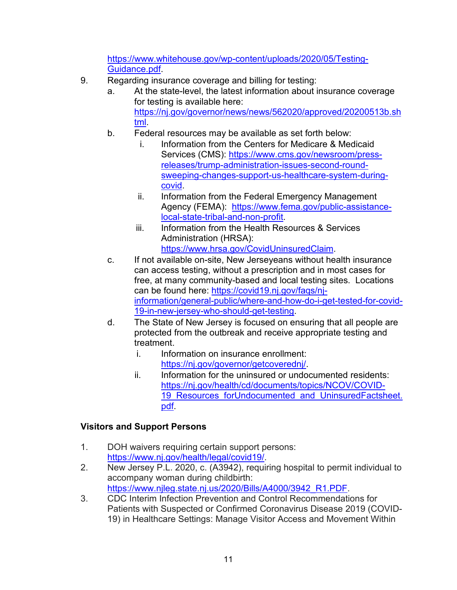[https://www.whitehouse.gov/wp-content/uploads/2020/05/Testing-](https://www.whitehouse.gov/wp-content/uploads/2020/05/Testing-Guidance.pdf)[Guidance.pdf.](https://www.whitehouse.gov/wp-content/uploads/2020/05/Testing-Guidance.pdf)

- 9. Regarding insurance coverage and billing for testing:
	- a. At the state-level, the latest information about insurance coverage for testing is available here: [https://nj.gov/governor/news/news/562020/approved/20200513b.sh](https://nj.gov/governor/news/news/562020/approved/20200513b.shtml) [tml.](https://nj.gov/governor/news/news/562020/approved/20200513b.shtml)
	- b. Federal resources may be available as set forth below:
		- i. Information from the Centers for Medicare & Medicaid Services (CMS): [https://www.cms.gov/newsroom/press](https://www.cms.gov/newsroom/press-releases/trump-administration-issues-second-round-sweeping-changes-support-us-healthcare-system-during-covid)[releases/trump-administration-issues-second-round](https://www.cms.gov/newsroom/press-releases/trump-administration-issues-second-round-sweeping-changes-support-us-healthcare-system-during-covid)[sweeping-changes-support-us-healthcare-system-during](https://www.cms.gov/newsroom/press-releases/trump-administration-issues-second-round-sweeping-changes-support-us-healthcare-system-during-covid)[covid.](https://www.cms.gov/newsroom/press-releases/trump-administration-issues-second-round-sweeping-changes-support-us-healthcare-system-during-covid)
		- ii. Information from the Federal Emergency Management Agency (FEMA): [https://www.fema.gov/public-assistance](https://www.fema.gov/public-assistance-local-state-tribal-and-non-profit)[local-state-tribal-and-non-profit.](https://www.fema.gov/public-assistance-local-state-tribal-and-non-profit)
		- iii. Information from the Health Resources & Services Administration (HRSA): [https://www.hrsa.gov/CovidUninsuredClaim.](https://www.hrsa.gov/CovidUninsuredClaim)
	- c. If not available on-site, New Jerseyeans without health insurance can access testing, without a prescription and in most cases for free, at many community-based and local testing sites. Locations can be found here: [https://covid19.nj.gov/faqs/nj](https://covid19.nj.gov/faqs/nj-information/general-public/where-and-how-do-i-get-tested-for-covid-19-in-new-jersey-who-should-get-testing)[information/general-public/where-and-how-do-i-get-tested-for-covid-](https://covid19.nj.gov/faqs/nj-information/general-public/where-and-how-do-i-get-tested-for-covid-19-in-new-jersey-who-should-get-testing)[19-in-new-jersey-who-should-get-testing.](https://covid19.nj.gov/faqs/nj-information/general-public/where-and-how-do-i-get-tested-for-covid-19-in-new-jersey-who-should-get-testing)
	- d. The State of New Jersey is focused on ensuring that all people are protected from the outbreak and receive appropriate testing and treatment.
		- i. Information on insurance enrollment: [https://nj.gov/governor/getcoverednj/.](https://nj.gov/governor/getcoverednj/)
		- ii. Information for the uninsured or undocumented residents: [https://nj.gov/health/cd/documents/topics/NCOV/COVID-](https://nj.gov/health/cd/documents/topics/NCOV/COVID-19_Resources_forUndocumented_and_UninsuredFactsheet.pdf)19 Resources forUndocumented and UninsuredFactsheet. [pdf.](https://nj.gov/health/cd/documents/topics/NCOV/COVID-19_Resources_forUndocumented_and_UninsuredFactsheet.pdf)

# **Visitors and Support Persons**

- 1. DOH waivers requiring certain support persons: [https://www.nj.gov/health/legal/covid19/.](https://www.nj.gov/health/legal/covid19/)
- 2. New Jersey P.L. 2020, c. (A3942), requiring hospital to permit individual to accompany woman during childbirth: [https://www.njleg.state.nj.us/2020/Bills/A4000/3942\\_R1.PDF.](https://www.njleg.state.nj.us/2020/Bills/A4000/3942_R1.PDF)
- 3. CDC Interim Infection Prevention and Control Recommendations for Patients with Suspected or Confirmed Coronavirus Disease 2019 (COVID-19) in Healthcare Settings: Manage Visitor Access and Movement Within